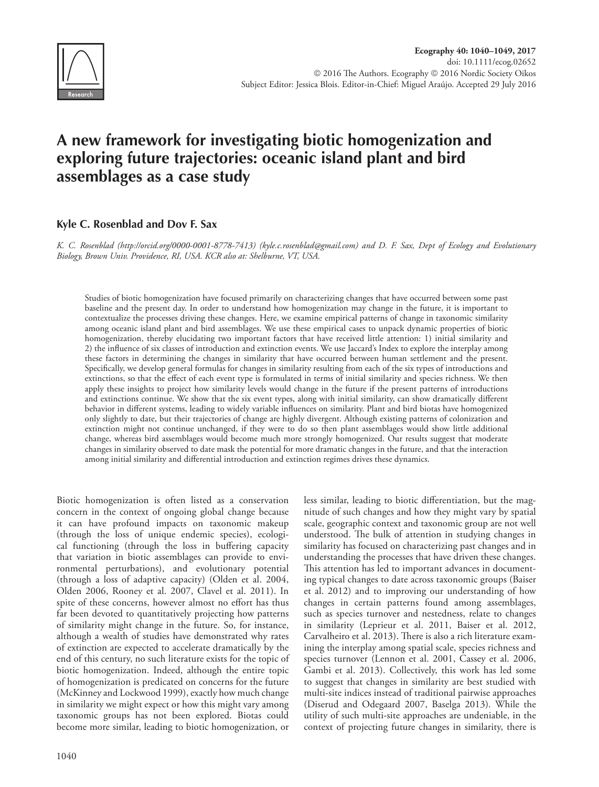

# **A new framework for investigating biotic homogenization and exploring future trajectories: oceanic island plant and bird assemblages as a case study**

## **Kyle C. Rosenblad and Dov F. Sax**

*K. C. Rosenblad (http://orcid.org/0000-0001-8778-7413) (kyle.c.rosenblad@gmail.com) and D. F. Sax, Dept of Ecology and Evolutionary Biology, Brown Univ. Providence, RI, USA. KCR also at: Shelburne, VT, USA.*

Studies of biotic homogenization have focused primarily on characterizing changes that have occurred between some past baseline and the present day. In order to understand how homogenization may change in the future, it is important to contextualize the processes driving these changes. Here, we examine empirical patterns of change in taxonomic similarity among oceanic island plant and bird assemblages. We use these empirical cases to unpack dynamic properties of biotic homogenization, thereby elucidating two important factors that have received little attention: 1) initial similarity and 2) the influence of six classes of introduction and extinction events. We use Jaccard's Index to explore the interplay among these factors in determining the changes in similarity that have occurred between human settlement and the present. Specifically, we develop general formulas for changes in similarity resulting from each of the six types of introductions and extinctions, so that the effect of each event type is formulated in terms of initial similarity and species richness. We then apply these insights to project how similarity levels would change in the future if the present patterns of introductions and extinctions continue. We show that the six event types, along with initial similarity, can show dramatically different behavior in different systems, leading to widely variable influences on similarity. Plant and bird biotas have homogenized only slightly to date, but their trajectories of change are highly divergent. Although existing patterns of colonization and extinction might not continue unchanged, if they were to do so then plant assemblages would show little additional change, whereas bird assemblages would become much more strongly homogenized. Our results suggest that moderate changes in similarity observed to date mask the potential for more dramatic changes in the future, and that the interaction among initial similarity and differential introduction and extinction regimes drives these dynamics.

Biotic homogenization is often listed as a conservation concern in the context of ongoing global change because it can have profound impacts on taxonomic makeup (through the loss of unique endemic species), ecological functioning (through the loss in buffering capacity that variation in biotic assemblages can provide to environmental perturbations), and evolutionary potential (through a loss of adaptive capacity) (Olden et al. 2004, Olden 2006, Rooney et al. 2007, Clavel et al. 2011). In spite of these concerns, however almost no effort has thus far been devoted to quantitatively projecting how patterns of similarity might change in the future. So, for instance, although a wealth of studies have demonstrated why rates of extinction are expected to accelerate dramatically by the end of this century, no such literature exists for the topic of biotic homogenization. Indeed, although the entire topic of homogenization is predicated on concerns for the future (McKinney and Lockwood 1999), exactly how much change in similarity we might expect or how this might vary among taxonomic groups has not been explored. Biotas could become more similar, leading to biotic homogenization, or

less similar, leading to biotic differentiation, but the magnitude of such changes and how they might vary by spatial scale, geographic context and taxonomic group are not well understood. The bulk of attention in studying changes in similarity has focused on characterizing past changes and in understanding the processes that have driven these changes. This attention has led to important advances in documenting typical changes to date across taxonomic groups (Baiser et al. 2012) and to improving our understanding of how changes in certain patterns found among assemblages, such as species turnover and nestedness, relate to changes in similarity (Leprieur et al. 2011, Baiser et al. 2012, Carvalheiro et al. 2013). There is also a rich literature examining the interplay among spatial scale, species richness and species turnover (Lennon et al. 2001, Cassey et al. 2006, Gambi et al. 2013). Collectively, this work has led some to suggest that changes in similarity are best studied with multi-site indices instead of traditional pairwise approaches (Diserud and Odegaard 2007, Baselga 2013). While the utility of such multi-site approaches are undeniable, in the context of projecting future changes in similarity, there is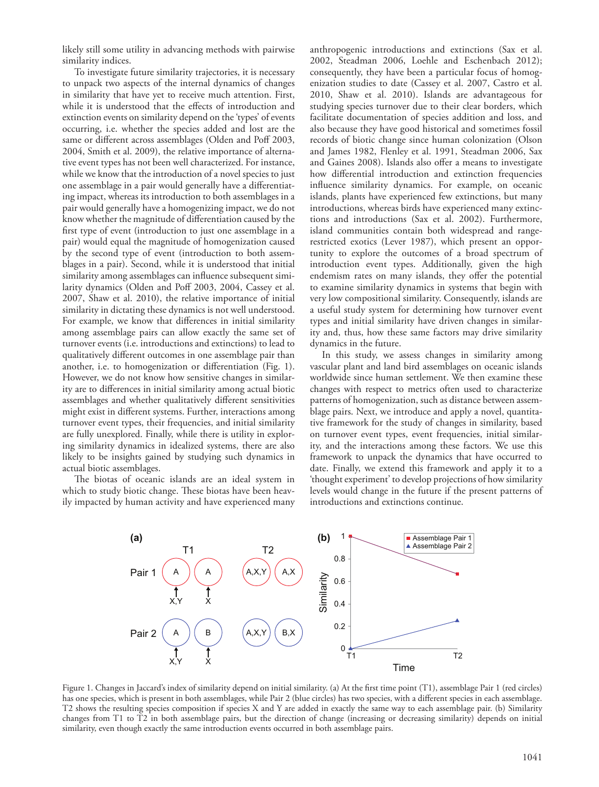likely still some utility in advancing methods with pairwise similarity indices.

To investigate future similarity trajectories, it is necessary to unpack two aspects of the internal dynamics of changes in similarity that have yet to receive much attention. First, while it is understood that the effects of introduction and extinction events on similarity depend on the 'types' of events occurring, i.e. whether the species added and lost are the same or different across assemblages (Olden and Poff 2003, 2004, Smith et al. 2009), the relative importance of alternative event types has not been well characterized. For instance, while we know that the introduction of a novel species to just one assemblage in a pair would generally have a differentiating impact, whereas its introduction to both assemblages in a pair would generally have a homogenizing impact, we do not know whether the magnitude of differentiation caused by the first type of event (introduction to just one assemblage in a pair) would equal the magnitude of homogenization caused by the second type of event (introduction to both assemblages in a pair). Second, while it is understood that initial similarity among assemblages can influence subsequent similarity dynamics (Olden and Poff 2003, 2004, Cassey et al. 2007, Shaw et al. 2010), the relative importance of initial similarity in dictating these dynamics is not well understood. For example, we know that differences in initial similarity among assemblage pairs can allow exactly the same set of turnover events (i.e. introductions and extinctions) to lead to qualitatively different outcomes in one assemblage pair than another, i.e. to homogenization or differentiation (Fig. 1). However, we do not know how sensitive changes in similarity are to differences in initial similarity among actual biotic assemblages and whether qualitatively different sensitivities might exist in different systems. Further, interactions among turnover event types, their frequencies, and initial similarity are fully unexplored. Finally, while there is utility in exploring similarity dynamics in idealized systems, there are also likely to be insights gained by studying such dynamics in actual biotic assemblages.

The biotas of oceanic islands are an ideal system in which to study biotic change. These biotas have been heavily impacted by human activity and have experienced many anthropogenic introductions and extinctions (Sax et al. 2002, Steadman 2006, Loehle and Eschenbach 2012); consequently, they have been a particular focus of homogenization studies to date (Cassey et al. 2007, Castro et al. 2010, Shaw et al. 2010). Islands are advantageous for studying species turnover due to their clear borders, which facilitate documentation of species addition and loss, and also because they have good historical and sometimes fossil records of biotic change since human colonization (Olson and James 1982, Flenley et al. 1991, Steadman 2006, Sax and Gaines 2008). Islands also offer a means to investigate how differential introduction and extinction frequencies influence similarity dynamics. For example, on oceanic islands, plants have experienced few extinctions, but many introductions, whereas birds have experienced many extinctions and introductions (Sax et al. 2002). Furthermore, island communities contain both widespread and rangerestricted exotics (Lever 1987), which present an opportunity to explore the outcomes of a broad spectrum of introduction event types. Additionally, given the high endemism rates on many islands, they offer the potential to examine similarity dynamics in systems that begin with very low compositional similarity. Consequently, islands are a useful study system for determining how turnover event types and initial similarity have driven changes in similarity and, thus, how these same factors may drive similarity dynamics in the future.

In this study, we assess changes in similarity among vascular plant and land bird assemblages on oceanic islands worldwide since human settlement. We then examine these changes with respect to metrics often used to characterize patterns of homogenization, such as distance between assemblage pairs. Next, we introduce and apply a novel, quantitative framework for the study of changes in similarity, based on turnover event types, event frequencies, initial similarity, and the interactions among these factors. We use this framework to unpack the dynamics that have occurred to date. Finally, we extend this framework and apply it to a 'thought experiment' to develop projections of how similarity levels would change in the future if the present patterns of introductions and extinctions continue.



Figure 1. Changes in Jaccard's index of similarity depend on initial similarity. (a) At the first time point (T1), assemblage Pair 1 (red circles) has one species, which is present in both assemblages, while Pair 2 (blue circles) has two species, with a different species in each assemblage. T2 shows the resulting species composition if species X and Y are added in exactly the same way to each assemblage pair. (b) Similarity changes from T1 to T2 in both assemblage pairs, but the direction of change (increasing or decreasing similarity) depends on initial similarity, even though exactly the same introduction events occurred in both assemblage pairs.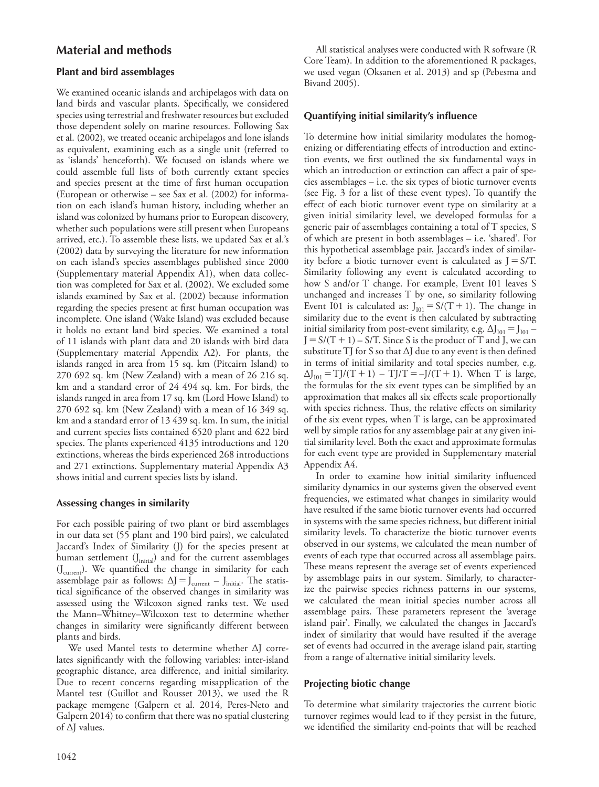# **Material and methods**

#### **Plant and bird assemblages**

We examined oceanic islands and archipelagos with data on land birds and vascular plants. Specifically, we considered species using terrestrial and freshwater resources but excluded those dependent solely on marine resources. Following Sax et al. (2002), we treated oceanic archipelagos and lone islands as equivalent, examining each as a single unit (referred to as 'islands' henceforth). We focused on islands where we could assemble full lists of both currently extant species and species present at the time of first human occupation (European or otherwise – see Sax et al. (2002) for information on each island's human history, including whether an island was colonized by humans prior to European discovery, whether such populations were still present when Europeans arrived, etc.). To assemble these lists, we updated Sax et al.'s (2002) data by surveying the literature for new information on each island's species assemblages published since 2000 (Supplementary material Appendix A1), when data collection was completed for Sax et al. (2002). We excluded some islands examined by Sax et al. (2002) because information regarding the species present at first human occupation was incomplete. One island (Wake Island) was excluded because it holds no extant land bird species. We examined a total of 11 islands with plant data and 20 islands with bird data (Supplementary material Appendix A2). For plants, the islands ranged in area from 15 sq. km (Pitcairn Island) to 270 692 sq. km (New Zealand) with a mean of 26 216 sq. km and a standard error of 24 494 sq. km. For birds, the islands ranged in area from 17 sq. km (Lord Howe Island) to 270 692 sq. km (New Zealand) with a mean of 16 349 sq. km and a standard error of 13 439 sq. km. In sum, the initial and current species lists contained 6520 plant and 622 bird species. The plants experienced 4135 introductions and 120 extinctions, whereas the birds experienced 268 introductions and 271 extinctions. Supplementary material Appendix A3 shows initial and current species lists by island.

#### **Assessing changes in similarity**

For each possible pairing of two plant or bird assemblages in our data set (55 plant and 190 bird pairs), we calculated Jaccard's Index of Similarity (J) for the species present at human settlement  $(J<sub>initial</sub>)$  and for the current assemblages  $(J<sub>current</sub>)$ . We quantified the change in similarity for each assemblage pair as follows:  $\Delta J = J_{\text{current}} - J_{\text{initial}}$ . The statistical significance of the observed changes in similarity was assessed using the Wilcoxon signed ranks test. We used the Mann–Whitney–Wilcoxon test to determine whether changes in similarity were significantly different between plants and birds.

We used Mantel tests to determine whether ΔJ correlates significantly with the following variables: inter-island geographic distance, area difference, and initial similarity. Due to recent concerns regarding misapplication of the Mantel test (Guillot and Rousset 2013), we used the R package memgene (Galpern et al. 2014, Peres-Neto and Galpern 2014) to confirm that there was no spatial clustering of ΔJ values.

All statistical analyses were conducted with R software (R Core Team). In addition to the aforementioned R packages, we used vegan (Oksanen et al. 2013) and sp (Pebesma and Bivand 2005).

### **Quantifying initial similarity's influence**

To determine how initial similarity modulates the homogenizing or differentiating effects of introduction and extinction events, we first outlined the six fundamental ways in which an introduction or extinction can affect a pair of species assemblages – i.e. the six types of biotic turnover events (see Fig. 3 for a list of these event types). To quantify the effect of each biotic turnover event type on similarity at a given initial similarity level, we developed formulas for a generic pair of assemblages containing a total of T species, S of which are present in both assemblages – i.e. 'shared'. For this hypothetical assemblage pair, Jaccard's index of similarity before a biotic turnover event is calculated as  $J = S/T$ . Similarity following any event is calculated according to how S and/or T change. For example, Event I01 leaves S unchanged and increases T by one, so similarity following Event I01 is calculated as:  $J_{I01} = S/(T+1)$ . The change in similarity due to the event is then calculated by subtracting initial similarity from post-event similarity, e.g.  $\Delta J_{I01} = J_{I01}$  - $J = S/(T + 1) - S/T$ . Since S is the product of T and J, we can substitute TJ for S so that  $\Delta$ J due to any event is then defined in terms of initial similarity and total species number, e.g.  $\Delta J_{\text{I01}} = TJ/(T+1) - TJ/T = -J/(T+1)$ . When T is large, the formulas for the six event types can be simplified by an approximation that makes all six effects scale proportionally with species richness. Thus, the relative effects on similarity of the six event types, when T is large, can be approximated well by simple ratios for any assemblage pair at any given initial similarity level. Both the exact and approximate formulas for each event type are provided in Supplementary material Appendix A4.

In order to examine how initial similarity influenced similarity dynamics in our systems given the observed event frequencies, we estimated what changes in similarity would have resulted if the same biotic turnover events had occurred in systems with the same species richness, but different initial similarity levels. To characterize the biotic turnover events observed in our systems, we calculated the mean number of events of each type that occurred across all assemblage pairs. These means represent the average set of events experienced by assemblage pairs in our system. Similarly, to characterize the pairwise species richness patterns in our systems, we calculated the mean initial species number across all assemblage pairs. These parameters represent the 'average island pair'. Finally, we calculated the changes in Jaccard's index of similarity that would have resulted if the average set of events had occurred in the average island pair, starting from a range of alternative initial similarity levels.

#### **Projecting biotic change**

To determine what similarity trajectories the current biotic turnover regimes would lead to if they persist in the future, we identified the similarity end-points that will be reached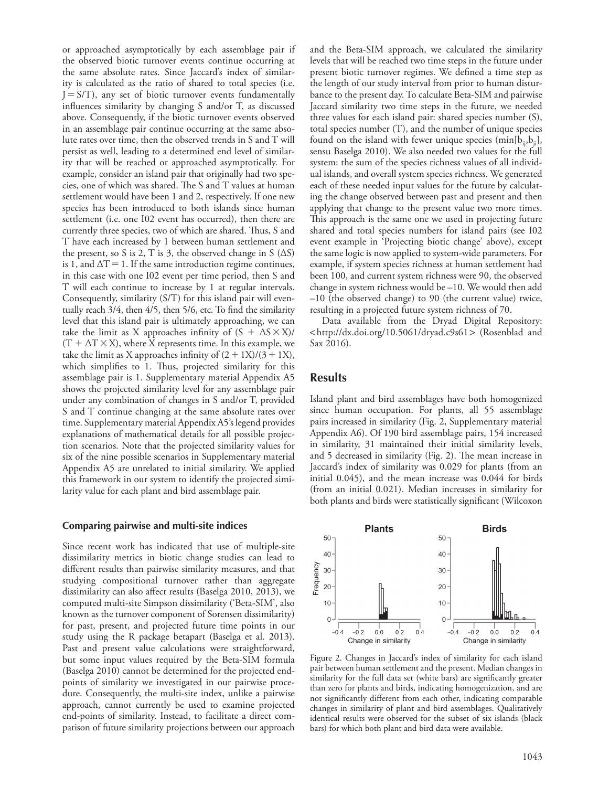or approached asymptotically by each assemblage pair if the observed biotic turnover events continue occurring at the same absolute rates. Since Jaccard's index of similarity is calculated as the ratio of shared to total species (i.e.  $J = S/T$ ), any set of biotic turnover events fundamentally influences similarity by changing S and/or T, as discussed above. Consequently, if the biotic turnover events observed in an assemblage pair continue occurring at the same absolute rates over time, then the observed trends in S and T will persist as well, leading to a determined end level of similarity that will be reached or approached asymptotically. For example, consider an island pair that originally had two species, one of which was shared. The S and T values at human settlement would have been 1 and 2, respectively. If one new species has been introduced to both islands since human settlement (i.e. one I02 event has occurred), then there are currently three species, two of which are shared. Thus, S and T have each increased by 1 between human settlement and the present, so S is 2, T is 3, the observed change in S  $(\Delta S)$ is 1, and  $\Delta T = 1$ . If the same introduction regime continues, in this case with one I02 event per time period, then S and T will each continue to increase by 1 at regular intervals. Consequently, similarity (S/T) for this island pair will eventually reach 3/4, then 4/5, then 5/6, etc. To find the similarity level that this island pair is ultimately approaching, we can take the limit as X approaches infinity of  $(S + \Delta S \times X)$ /  $(T + \Delta T \times X)$ , where X represents time. In this example, we take the limit as X approaches infinity of  $(2+1X)/(3+1X)$ , which simplifies to 1. Thus, projected similarity for this assemblage pair is 1. Supplementary material Appendix A5 shows the projected similarity level for any assemblage pair under any combination of changes in S and/or T, provided S and T continue changing at the same absolute rates over time. Supplementary material Appendix A5's legend provides explanations of mathematical details for all possible projection scenarios. Note that the projected similarity values for six of the nine possible scenarios in Supplementary material Appendix A5 are unrelated to initial similarity. We applied this framework in our system to identify the projected similarity value for each plant and bird assemblage pair.

#### **Comparing pairwise and multi-site indices**

Since recent work has indicated that use of multiple-site dissimilarity metrics in biotic change studies can lead to different results than pairwise similarity measures, and that studying compositional turnover rather than aggregate dissimilarity can also affect results (Baselga 2010, 2013), we computed multi-site Simpson dissimilarity ('Beta-SIM', also known as the turnover component of Sorensen dissimilarity) for past, present, and projected future time points in our study using the R package betapart (Baselga et al. 2013). Past and present value calculations were straightforward, but some input values required by the Beta-SIM formula (Baselga 2010) cannot be determined for the projected endpoints of similarity we investigated in our pairwise procedure. Consequently, the multi-site index, unlike a pairwise approach, cannot currently be used to examine projected end-points of similarity. Instead, to facilitate a direct comparison of future similarity projections between our approach and the Beta-SIM approach, we calculated the similarity levels that will be reached two time steps in the future under present biotic turnover regimes. We defined a time step as the length of our study interval from prior to human disturbance to the present day. To calculate Beta-SIM and pairwise Jaccard similarity two time steps in the future, we needed three values for each island pair: shared species number (S), total species number (T), and the number of unique species found on the island with fewer unique species (min[b<sub>ij</sub>,b<sub>ij</sub>], sensu Baselga 2010). We also needed two values for the full system: the sum of the species richness values of all individual islands, and overall system species richness. We generated each of these needed input values for the future by calculating the change observed between past and present and then applying that change to the present value two more times. This approach is the same one we used in projecting future shared and total species numbers for island pairs (see I02 event example in 'Projecting biotic change' above), except the same logic is now applied to system-wide parameters. For example, if system species richness at human settlement had been 100, and current system richness were 90, the observed change in system richness would be –10. We would then add –10 (the observed change) to 90 (the current value) twice, resulting in a projected future system richness of 70.

Data available from the Dryad Digital Repository: <http://dx.doi.org/10.5061/dryad.c9s61> (Rosenblad and Sax 2016).

#### **Results**

Island plant and bird assemblages have both homogenized since human occupation. For plants, all 55 assemblage pairs increased in similarity (Fig. 2, Supplementary material Appendix A6). Of 190 bird assemblage pairs, 154 increased in similarity, 31 maintained their initial similarity levels, and 5 decreased in similarity (Fig. 2). The mean increase in Jaccard's index of similarity was 0.029 for plants (from an initial 0.045), and the mean increase was 0.044 for birds (from an initial 0.021). Median increases in similarity for both plants and birds were statistically significant (Wilcoxon



Figure 2. Changes in Jaccard's index of similarity for each island pair between human settlement and the present. Median changes in similarity for the full data set (white bars) are significantly greater than zero for plants and birds, indicating homogenization, and are not significantly different from each other, indicating comparable changes in similarity of plant and bird assemblages. Qualitatively identical results were observed for the subset of six islands (black bars) for which both plant and bird data were available.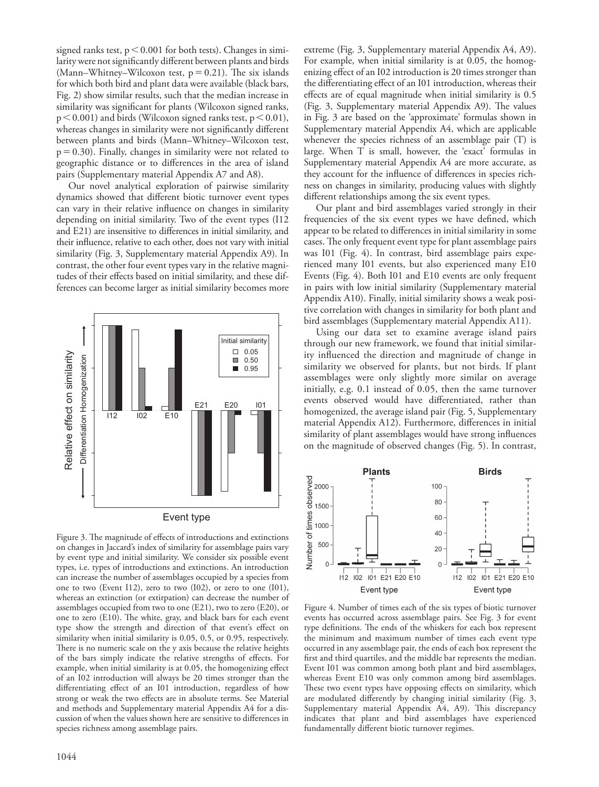signed ranks test,  $p < 0.001$  for both tests). Changes in similarity were not significantly different between plants and birds (Mann–Whitney–Wilcoxon test,  $p=0.21$ ). The six islands for which both bird and plant data were available (black bars, Fig. 2) show similar results, such that the median increase in similarity was significant for plants (Wilcoxon signed ranks,  $p<0.001$ ) and birds (Wilcoxon signed ranks test,  $p<0.01$ ), whereas changes in similarity were not significantly different between plants and birds (Mann–Whitney–Wilcoxon test,  $p=0.30$ ). Finally, changes in similarity were not related to geographic distance or to differences in the area of island pairs (Supplementary material Appendix A7 and A8).

Our novel analytical exploration of pairwise similarity dynamics showed that different biotic turnover event types can vary in their relative influence on changes in similarity depending on initial similarity. Two of the event types (I12 and E21) are insensitive to differences in initial similarity, and their influence, relative to each other, does not vary with initial similarity (Fig. 3, Supplementary material Appendix A9). In contrast, the other four event types vary in the relative magnitudes of their effects based on initial similarity, and these differences can become larger as initial similarity becomes more



Figure 3. The magnitude of effects of introductions and extinctions on changes in Jaccard's index of similarity for assemblage pairs vary by event type and initial similarity. We consider six possible event types, i.e. types of introductions and extinctions. An introduction can increase the number of assemblages occupied by a species from one to two (Event I12), zero to two (I02), or zero to one (I01), whereas an extinction (or extirpation) can decrease the number of assemblages occupied from two to one (E21), two to zero (E20), or one to zero (E10). The white, gray, and black bars for each event type show the strength and direction of that event's effect on similarity when initial similarity is 0.05, 0.5, or 0.95, respectively. There is no numeric scale on the y axis because the relative heights of the bars simply indicate the relative strengths of effects. For example, when initial similarity is at 0.05, the homogenizing effect of an I02 introduction will always be 20 times stronger than the differentiating effect of an I01 introduction, regardless of how strong or weak the two effects are in absolute terms. See Material and methods and Supplementary material Appendix A4 for a discussion of when the values shown here are sensitive to differences in species richness among assemblage pairs.

extreme (Fig. 3, Supplementary material Appendix A4, A9). For example, when initial similarity is at 0.05, the homogenizing effect of an I02 introduction is 20 times stronger than the differentiating effect of an I01 introduction, whereas their effects are of equal magnitude when initial similarity is 0.5 (Fig. 3, Supplementary material Appendix A9). The values in Fig. 3 are based on the 'approximate' formulas shown in Supplementary material Appendix A4, which are applicable whenever the species richness of an assemblage pair (T) is large. When T is small, however, the 'exact' formulas in Supplementary material Appendix A4 are more accurate, as they account for the influence of differences in species richness on changes in similarity, producing values with slightly different relationships among the six event types.

Our plant and bird assemblages varied strongly in their frequencies of the six event types we have defined, which appear to be related to differences in initial similarity in some cases. The only frequent event type for plant assemblage pairs was I01 (Fig. 4). In contrast, bird assemblage pairs experienced many I01 events, but also experienced many E10 Events (Fig. 4). Both I01 and E10 events are only frequent in pairs with low initial similarity (Supplementary material Appendix A10). Finally, initial similarity shows a weak positive correlation with changes in similarity for both plant and bird assemblages (Supplementary material Appendix A11).

Using our data set to examine average island pairs through our new framework, we found that initial similarity influenced the direction and magnitude of change in similarity we observed for plants, but not birds. If plant assemblages were only slightly more similar on average initially, e.g. 0.1 instead of 0.05, then the same turnover events observed would have differentiated, rather than homogenized, the average island pair (Fig. 5, Supplementary material Appendix A12). Furthermore, differences in initial similarity of plant assemblages would have strong influences on the magnitude of observed changes (Fig. 5). In contrast,



Figure 4. Number of times each of the six types of biotic turnover events has occurred across assemblage pairs. See Fig. 3 for event type definitions. The ends of the whiskers for each box represent the minimum and maximum number of times each event type occurred in any assemblage pair, the ends of each box represent the first and third quartiles, and the middle bar represents the median. Event I01 was common among both plant and bird assemblages, whereas Event E10 was only common among bird assemblages. These two event types have opposing effects on similarity, which are modulated differently by changing initial similarity (Fig. 3, Supplementary material Appendix A4, A9). This discrepancy indicates that plant and bird assemblages have experienced fundamentally different biotic turnover regimes.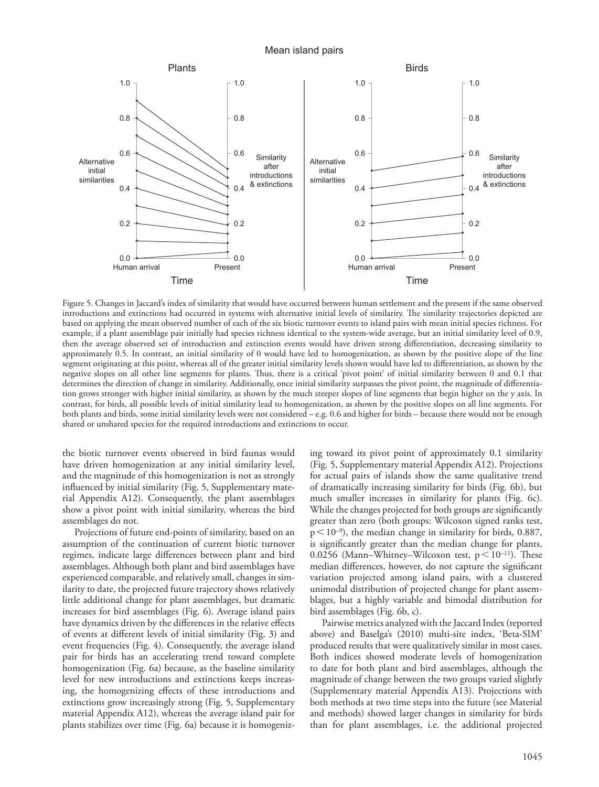#### Mean island pairs



Figure 5. Changes in Jaccard's index of similarity that would have occurred between human settlement and the present if the same observed introductions and extinctions had occurred in systems with alternative initial levels of similarity. The similarity trajectories depicted are based on applying the mean observed number of each of the six biotic turnover events to island pairs with mean initial species richness. For example, if a plant assemblage pair initially had species richness identical to the system-wide average, but an initial similarity level of 0.9, then the average observed set of introduction and extinction events would have driven strong differentiation, decreasing similarity to approximately 0.5. In contrast, an initial similarity of 0 would have led to homogenization, as shown by the positive slope of the line segment originating at this point, whereas all of the greater initial similarity levels shown would have led to differentiation, as shown by the negative slopes on all other line segments for plants. Thus, there is a critical 'pivot point' of initial similarity between 0 and 0.1 that determines the direction of change in similarity. Additionally, once initial similarity surpasses the pivot point, the magnitude of differentiation grows stronger with higher initial similarity, as shown by the much steeper slopes of line segments that begin higher on the y axis. In contrast, for birds, all possible levels of initial similarity lead to homogenization, as shown by the positive slopes on all line segments. For both plants and birds, some initial similarity levels were not considered – e.g. 0.6 and higher for birds – because there would not be enough shared or unshared species for the required introductions and extinctions to occur.

the biotic turnover events observed in bird faunas would have driven homogenization at any initial similarity level, and the magnitude of this homogenization is not as strongly influenced by initial similarity (Fig. 5, Supplementary material Appendix A12). Consequently, the plant assemblages show a pivot point with initial similarity, whereas the bird assemblages do not.

Projections of future end-points of similarity, based on an assumption of the continuation of current biotic turnover regimes, indicate large differences between plant and bird assemblages. Although both plant and bird assemblages have experienced comparable, and relatively small, changes in similarity to date, the projected future trajectory shows relatively little additional change for plant assemblages, but dramatic increases for bird assemblages (Fig. 6). Average island pairs have dynamics driven by the differences in the relative effects of events at different levels of initial similarity (Fig. 3) and event frequencies (Fig. 4). Consequently, the average island pair for birds has an accelerating trend toward complete homogenization (Fig. 6a) because, as the baseline similarity level for new introductions and extinctions keeps increasing, the homogenizing effects of these introductions and extinctions grow increasingly strong (Fig. 5, Supplementary material Appendix A12), whereas the average island pair for plants stabilizes over time (Fig. 6a) because it is homogenizing toward its pivot point of approximately 0.1 similarity (Fig. 5, Supplementary material Appendix A12). Projections for actual pairs of islands show the same qualitative trend of dramatically increasing similarity for birds (Fig. 6b), but much smaller increases in similarity for plants (Fig. 6c). While the changes projected for both groups are significantly greater than zero (both groups: Wilcoxon signed ranks test,  $p<10^{-9}$ ), the median change in similarity for birds, 0.887, is significantly greater than the median change for plants, 0.0256 (Mann–Whitney–Wilcoxon test,  $p<10^{-11}$ ). These median differences, however, do not capture the significant variation projected among island pairs, with a clustered unimodal distribution of projected change for plant assemblages, but a highly variable and bimodal distribution for bird assemblages (Fig. 6b, c).

Pairwise metrics analyzed with the Jaccard Index (reported above) and Baselga's (2010) multi-site index, 'Beta-SIM' produced results that were qualitatively similar in most cases. Both indices showed moderate levels of homogenization to date for both plant and bird assemblages, although the magnitude of change between the two groups varied slightly (Supplementary material Appendix A13). Projections with both methods at two time steps into the future (see Material and methods) showed larger changes in similarity for birds than for plant assemblages, i.e. the additional projected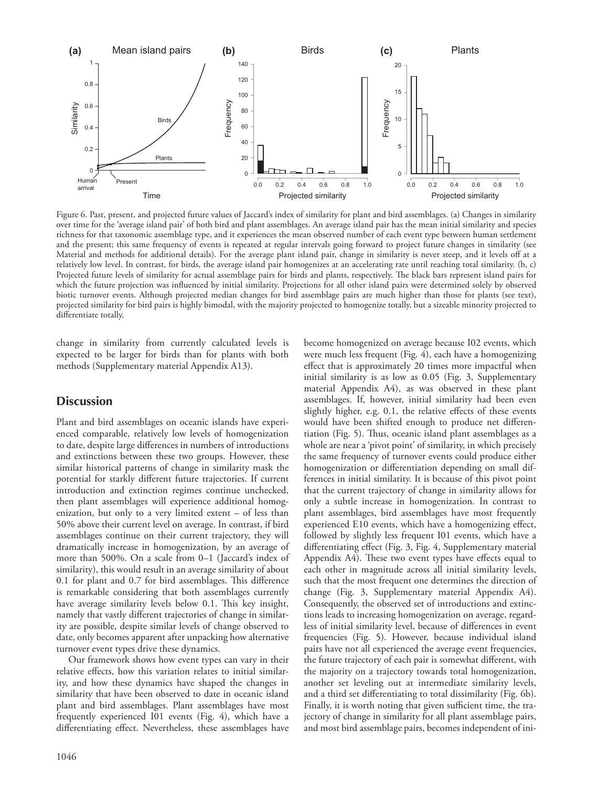

Figure 6. Past, present, and projected future values of Jaccard's index of similarity for plant and bird assemblages. (a) Changes in similarity over time for the 'average island pair' of both bird and plant assemblages. An average island pair has the mean initial similarity and species richness for that taxonomic assemblage type, and it experiences the mean observed number of each event type between human settlement and the present; this same frequency of events is repeated at regular intervals going forward to project future changes in similarity (see Material and methods for additional details). For the average plant island pair, change in similarity is never steep, and it levels off at a relatively low level. In contrast, for birds, the average island pair homogenizes at an accelerating rate until reaching total similarity. (b, c) Projected future levels of similarity for actual assemblage pairs for birds and plants, respectively. The black bars represent island pairs for which the future projection was influenced by initial similarity. Projections for all other island pairs were determined solely by observed biotic turnover events. Although projected median changes for bird assemblage pairs are much higher than those for plants (see text), projected similarity for bird pairs is highly bimodal, with the majority projected to homogenize totally, but a sizeable minority projected to differentiate totally.

change in similarity from currently calculated levels is expected to be larger for birds than for plants with both methods (Supplementary material Appendix A13).

## **Discussion**

Plant and bird assemblages on oceanic islands have experienced comparable, relatively low levels of homogenization to date, despite large differences in numbers of introductions and extinctions between these two groups. However, these similar historical patterns of change in similarity mask the potential for starkly different future trajectories. If current introduction and extinction regimes continue unchecked, then plant assemblages will experience additional homogenization, but only to a very limited extent – of less than 50% above their current level on average. In contrast, if bird assemblages continue on their current trajectory, they will dramatically increase in homogenization, by an average of more than 500%. On a scale from 0–1 (Jaccard's index of similarity), this would result in an average similarity of about 0.1 for plant and 0.7 for bird assemblages. This difference is remarkable considering that both assemblages currently have average similarity levels below 0.1. This key insight, namely that vastly different trajectories of change in similarity are possible, despite similar levels of change observed to date, only becomes apparent after unpacking how alternative turnover event types drive these dynamics.

Our framework shows how event types can vary in their relative effects, how this variation relates to initial similarity, and how these dynamics have shaped the changes in similarity that have been observed to date in oceanic island plant and bird assemblages. Plant assemblages have most frequently experienced I01 events (Fig. 4), which have a differentiating effect. Nevertheless, these assemblages have effect that is approximately 20 times more impactful when initial similarity is as low as 0.05 (Fig. 3, Supplementary material Appendix A4), as was observed in these plant assemblages. If, however, initial similarity had been even slightly higher, e.g. 0.1, the relative effects of these events would have been shifted enough to produce net differentiation (Fig. 5). Thus, oceanic island plant assemblages as a whole are near a 'pivot point' of similarity, in which precisely the same frequency of turnover events could produce either homogenization or differentiation depending on small differences in initial similarity. It is because of this pivot point that the current trajectory of change in similarity allows for only a subtle increase in homogenization. In contrast to plant assemblages, bird assemblages have most frequently experienced E10 events, which have a homogenizing effect, followed by slightly less frequent I01 events, which have a differentiating effect (Fig. 3, Fig. 4, Supplementary material Appendix A4). These two event types have effects equal to each other in magnitude across all initial similarity levels, such that the most frequent one determines the direction of change (Fig. 3, Supplementary material Appendix A4). Consequently, the observed set of introductions and extinctions leads to increasing homogenization on average, regardless of initial similarity level, because of differences in event frequencies (Fig. 5). However, because individual island pairs have not all experienced the average event frequencies, the future trajectory of each pair is somewhat different, with the majority on a trajectory towards total homogenization, another set leveling out at intermediate similarity levels, and a third set differentiating to total dissimilarity (Fig. 6b). Finally, it is worth noting that given sufficient time, the trajectory of change in similarity for all plant assemblage pairs, and most bird assemblage pairs, becomes independent of ini-

become homogenized on average because I02 events, which were much less frequent (Fig. 4), each have a homogenizing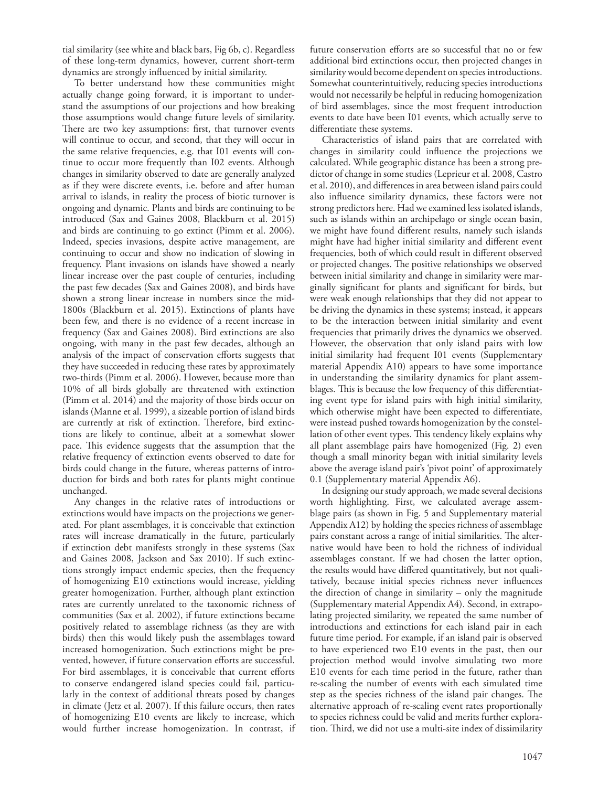tial similarity (see white and black bars, Fig 6b, c). Regardless of these long-term dynamics, however, current short-term dynamics are strongly influenced by initial similarity.

To better understand how these communities might actually change going forward, it is important to understand the assumptions of our projections and how breaking those assumptions would change future levels of similarity. There are two key assumptions: first, that turnover events will continue to occur, and second, that they will occur in the same relative frequencies, e.g. that I01 events will continue to occur more frequently than I02 events. Although changes in similarity observed to date are generally analyzed as if they were discrete events, i.e. before and after human arrival to islands, in reality the process of biotic turnover is ongoing and dynamic. Plants and birds are continuing to be introduced (Sax and Gaines 2008, Blackburn et al. 2015) and birds are continuing to go extinct (Pimm et al. 2006). Indeed, species invasions, despite active management, are continuing to occur and show no indication of slowing in frequency. Plant invasions on islands have showed a nearly linear increase over the past couple of centuries, including the past few decades (Sax and Gaines 2008), and birds have shown a strong linear increase in numbers since the mid-1800s (Blackburn et al. 2015). Extinctions of plants have been few, and there is no evidence of a recent increase in frequency (Sax and Gaines 2008). Bird extinctions are also ongoing, with many in the past few decades, although an analysis of the impact of conservation efforts suggests that they have succeeded in reducing these rates by approximately two-thirds (Pimm et al. 2006). However, because more than 10% of all birds globally are threatened with extinction (Pimm et al. 2014) and the majority of those birds occur on islands (Manne et al. 1999), a sizeable portion of island birds are currently at risk of extinction. Therefore, bird extinctions are likely to continue, albeit at a somewhat slower pace. This evidence suggests that the assumption that the relative frequency of extinction events observed to date for birds could change in the future, whereas patterns of introduction for birds and both rates for plants might continue unchanged.

Any changes in the relative rates of introductions or extinctions would have impacts on the projections we generated. For plant assemblages, it is conceivable that extinction rates will increase dramatically in the future, particularly if extinction debt manifests strongly in these systems (Sax and Gaines 2008, Jackson and Sax 2010). If such extinctions strongly impact endemic species, then the frequency of homogenizing E10 extinctions would increase, yielding greater homogenization. Further, although plant extinction rates are currently unrelated to the taxonomic richness of communities (Sax et al. 2002), if future extinctions became positively related to assemblage richness (as they are with birds) then this would likely push the assemblages toward increased homogenization. Such extinctions might be prevented, however, if future conservation efforts are successful. For bird assemblages, it is conceivable that current efforts to conserve endangered island species could fail, particularly in the context of additional threats posed by changes in climate (Jetz et al. 2007). If this failure occurs, then rates of homogenizing E10 events are likely to increase, which would further increase homogenization. In contrast, if

future conservation efforts are so successful that no or few additional bird extinctions occur, then projected changes in similarity would become dependent on species introductions. Somewhat counterintuitively, reducing species introductions would not necessarily be helpful in reducing homogenization of bird assemblages, since the most frequent introduction events to date have been I01 events, which actually serve to differentiate these systems.

Characteristics of island pairs that are correlated with changes in similarity could influence the projections we calculated. While geographic distance has been a strong predictor of change in some studies (Leprieur et al. 2008, Castro et al. 2010), and differences in area between island pairs could also influence similarity dynamics, these factors were not strong predictors here. Had we examined less isolated islands, such as islands within an archipelago or single ocean basin, we might have found different results, namely such islands might have had higher initial similarity and different event frequencies, both of which could result in different observed or projected changes. The positive relationships we observed between initial similarity and change in similarity were marginally significant for plants and significant for birds, but were weak enough relationships that they did not appear to be driving the dynamics in these systems; instead, it appears to be the interaction between initial similarity and event frequencies that primarily drives the dynamics we observed. However, the observation that only island pairs with low initial similarity had frequent I01 events (Supplementary material Appendix A10) appears to have some importance in understanding the similarity dynamics for plant assemblages. This is because the low frequency of this differentiating event type for island pairs with high initial similarity, which otherwise might have been expected to differentiate, were instead pushed towards homogenization by the constellation of other event types. This tendency likely explains why all plant assemblage pairs have homogenized (Fig. 2) even though a small minority began with initial similarity levels above the average island pair's 'pivot point' of approximately 0.1 (Supplementary material Appendix A6).

In designing our study approach, we made several decisions worth highlighting. First, we calculated average assemblage pairs (as shown in Fig. 5 and Supplementary material Appendix A12) by holding the species richness of assemblage pairs constant across a range of initial similarities. The alternative would have been to hold the richness of individual assemblages constant. If we had chosen the latter option, the results would have differed quantitatively, but not qualitatively, because initial species richness never influences the direction of change in similarity – only the magnitude (Supplementary material Appendix A4). Second, in extrapolating projected similarity, we repeated the same number of introductions and extinctions for each island pair in each future time period. For example, if an island pair is observed to have experienced two E10 events in the past, then our projection method would involve simulating two more E10 events for each time period in the future, rather than re-scaling the number of events with each simulated time step as the species richness of the island pair changes. The alternative approach of re-scaling event rates proportionally to species richness could be valid and merits further exploration. Third, we did not use a multi-site index of dissimilarity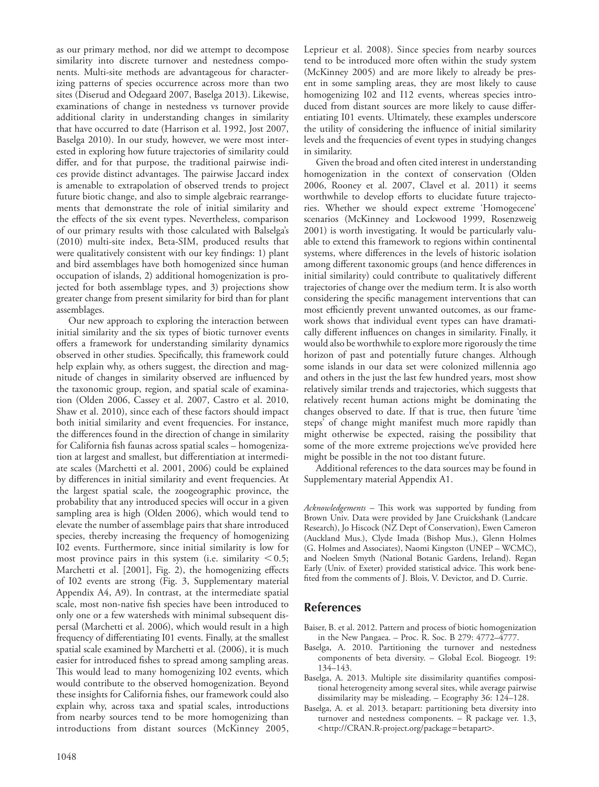as our primary method, nor did we attempt to decompose similarity into discrete turnover and nestedness components. Multi-site methods are advantageous for characterizing patterns of species occurrence across more than two sites (Diserud and Odegaard 2007, Baselga 2013). Likewise, examinations of change in nestedness vs turnover provide additional clarity in understanding changes in similarity that have occurred to date (Harrison et al. 1992, Jost 2007, Baselga 2010). In our study, however, we were most interested in exploring how future trajectories of similarity could differ, and for that purpose, the traditional pairwise indices provide distinct advantages. The pairwise Jaccard index is amenable to extrapolation of observed trends to project future biotic change, and also to simple algebraic rearrangements that demonstrate the role of initial similarity and the effects of the six event types. Nevertheless, comparison of our primary results with those calculated with Balselga's (2010) multi-site index, Beta-SIM, produced results that were qualitatively consistent with our key findings: 1) plant and bird assemblages have both homogenized since human occupation of islands, 2) additional homogenization is projected for both assemblage types, and 3) projections show greater change from present similarity for bird than for plant assemblages.

Our new approach to exploring the interaction between initial similarity and the six types of biotic turnover events offers a framework for understanding similarity dynamics observed in other studies. Specifically, this framework could help explain why, as others suggest, the direction and magnitude of changes in similarity observed are influenced by the taxonomic group, region, and spatial scale of examination (Olden 2006, Cassey et al. 2007, Castro et al. 2010, Shaw et al. 2010), since each of these factors should impact both initial similarity and event frequencies. For instance, the differences found in the direction of change in similarity for California fish faunas across spatial scales – homogenization at largest and smallest, but differentiation at intermediate scales (Marchetti et al. 2001, 2006) could be explained by differences in initial similarity and event frequencies. At the largest spatial scale, the zoogeographic province, the probability that any introduced species will occur in a given sampling area is high (Olden 2006), which would tend to elevate the number of assemblage pairs that share introduced species, thereby increasing the frequency of homogenizing I02 events. Furthermore, since initial similarity is low for most province pairs in this system (i.e. similarity  $\leq 0.5$ ; Marchetti et al. [2001], Fig. 2), the homogenizing effects of I02 events are strong (Fig. 3, Supplementary material Appendix A4, A9). In contrast, at the intermediate spatial scale, most non-native fish species have been introduced to only one or a few watersheds with minimal subsequent dispersal (Marchetti et al. 2006), which would result in a high frequency of differentiating I01 events. Finally, at the smallest spatial scale examined by Marchetti et al. (2006), it is much easier for introduced fishes to spread among sampling areas. This would lead to many homogenizing I02 events, which would contribute to the observed homogenization. Beyond these insights for California fishes, our framework could also explain why, across taxa and spatial scales, introductions from nearby sources tend to be more homogenizing than introductions from distant sources (McKinney 2005, Leprieur et al. 2008). Since species from nearby sources tend to be introduced more often within the study system (McKinney 2005) and are more likely to already be present in some sampling areas, they are most likely to cause homogenizing I02 and I12 events, whereas species introduced from distant sources are more likely to cause differentiating I01 events. Ultimately, these examples underscore the utility of considering the influence of initial similarity levels and the frequencies of event types in studying changes in similarity.

Given the broad and often cited interest in understanding homogenization in the context of conservation (Olden 2006, Rooney et al. 2007, Clavel et al. 2011) it seems worthwhile to develop efforts to elucidate future trajectories. Whether we should expect extreme 'Homogecene' scenarios (McKinney and Lockwood 1999, Rosenzweig 2001) is worth investigating. It would be particularly valuable to extend this framework to regions within continental systems, where differences in the levels of historic isolation among different taxonomic groups (and hence differences in initial similarity) could contribute to qualitatively different trajectories of change over the medium term. It is also worth considering the specific management interventions that can most efficiently prevent unwanted outcomes, as our framework shows that individual event types can have dramatically different influences on changes in similarity. Finally, it would also be worthwhile to explore more rigorously the time horizon of past and potentially future changes. Although some islands in our data set were colonized millennia ago and others in the just the last few hundred years, most show relatively similar trends and trajectories, which suggests that relatively recent human actions might be dominating the changes observed to date. If that is true, then future 'time steps' of change might manifest much more rapidly than might otherwise be expected, raising the possibility that some of the more extreme projections we've provided here might be possible in the not too distant future.

Additional references to the data sources may be found in Supplementary material Appendix A1.

*Acknowledgements –* This work was supported by funding from Brown Univ. Data were provided by Jane Cruickshank (Landcare Research), Jo Hiscock (NZ Dept of Conservation), Ewen Cameron (Auckland Mus.), Clyde Imada (Bishop Mus.), Glenn Holmes (G. Holmes and Associates), Naomi Kingston (UNEP – WCMC), and Noeleen Smyth (National Botanic Gardens, Ireland). Regan Early (Univ. of Exeter) provided statistical advice. This work benefited from the comments of J. Blois, V. Devictor, and D. Currie.

## **References**

- Baiser, B. et al. 2012. Pattern and process of biotic homogenization in the New Pangaea. – Proc. R. Soc. B 279: 4772–4777.
- Baselga, A. 2010. Partitioning the turnover and nestedness components of beta diversity. – Global Ecol. Biogeogr. 19: 134–143.
- Baselga, A. 2013. Multiple site dissimilarity quantifies compositional heterogeneity among several sites, while average pairwise dissimilarity may be misleading. – Ecography 36: 124–128.
- Baselga, A. et al. 2013. betapart: partitioning beta diversity into turnover and nestedness components. – R package ver. 1.3, <http://CRAN.R-project.org/package=betapart>.